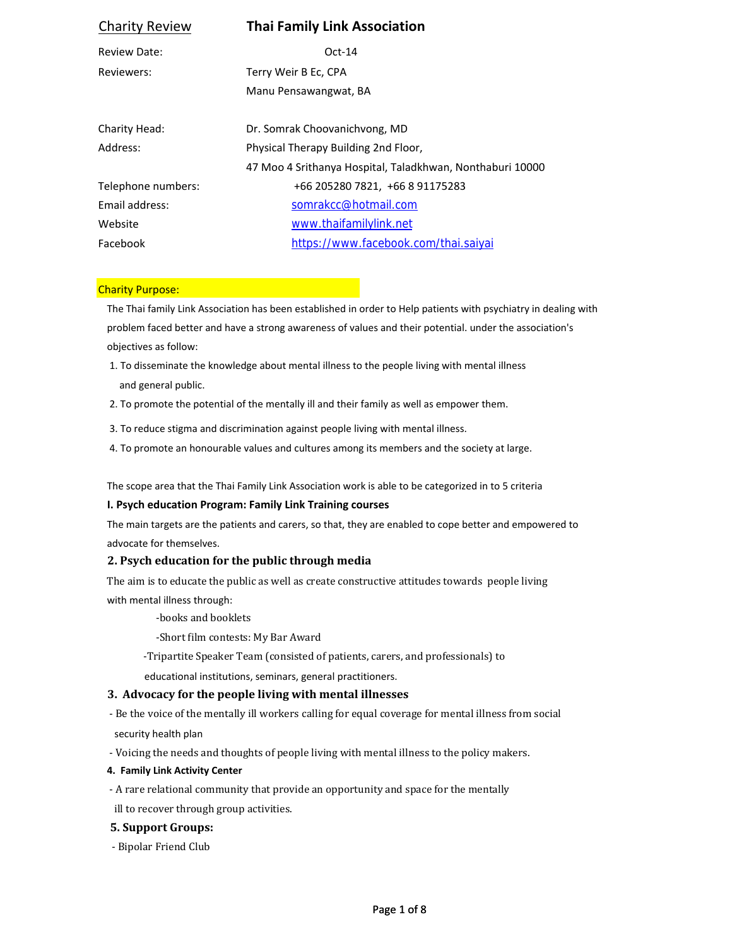| <b>Charity Review</b> | <b>Thai Family Link Association</b>                       |
|-----------------------|-----------------------------------------------------------|
| <b>Review Date:</b>   | $Oct-14$                                                  |
| Reviewers:            | Terry Weir B Ec, CPA                                      |
|                       | Manu Pensawangwat, BA                                     |
|                       |                                                           |
| Charity Head:         | Dr. Somrak Choovanichvong, MD                             |
| Address:              | Physical Therapy Building 2nd Floor,                      |
|                       | 47 Moo 4 Srithanya Hospital, Taladkhwan, Nonthaburi 10000 |
| Telephone numbers:    | +66 205280 7821, +66 8 91175283                           |
| Email address:        | somrakcc@hotmail.com                                      |
| Website               | www.thaifamilylink.net                                    |
| Facebook              | https://www.facebook.com/thai.saiyai                      |
|                       |                                                           |

### Charity Purpose:

The Thai family Link Association has been established in order to Help patients with psychiatry in dealing with problem faced better and have a strong awareness of values and their potential. under the association's objectives as follow:

- 1. To disseminate the knowledge about mental illness to the people living with mental illness and general public.
- 2. To promote the potential of the mentally ill and their family as well as empower them.
- 3. To reduce stigma and discrimination against people living with mental illness.
- 4. To promote an honourable values and cultures among its members and the society at large.

The scope area that the Thai Family Link Association work is able to be categorized in to 5 criteria

### **I. Psych education Program: Family Link Training courses**

The main targets are the patients and carers, so that, they are enabled to cope better and empowered to advocate for themselves.

# **2. Psych education for the public through media**

The aim is to educate the public as well as create constructive attitudes towards people living with mental illness through:

-books and booklets

-Short film contests: My Bar Award

-Tripartite Speaker Team (consisted of patients, carers, and professionals) to

educational institutions, seminars, general practitioners.

# **3. Advocacy for the people living with mental illnesses**

- Be the voice of the mentally ill workers calling for equal coverage for mental illness from social security health plan
- Voicing the needs and thoughts of people living with mental illness to the policy makers.
- **4. Family Link Activity Center**
- A rare relational community that provide an opportunity and space for the mentally ill to recover through group activities.

# **5. Support Groups:**

- Bipolar Friend Club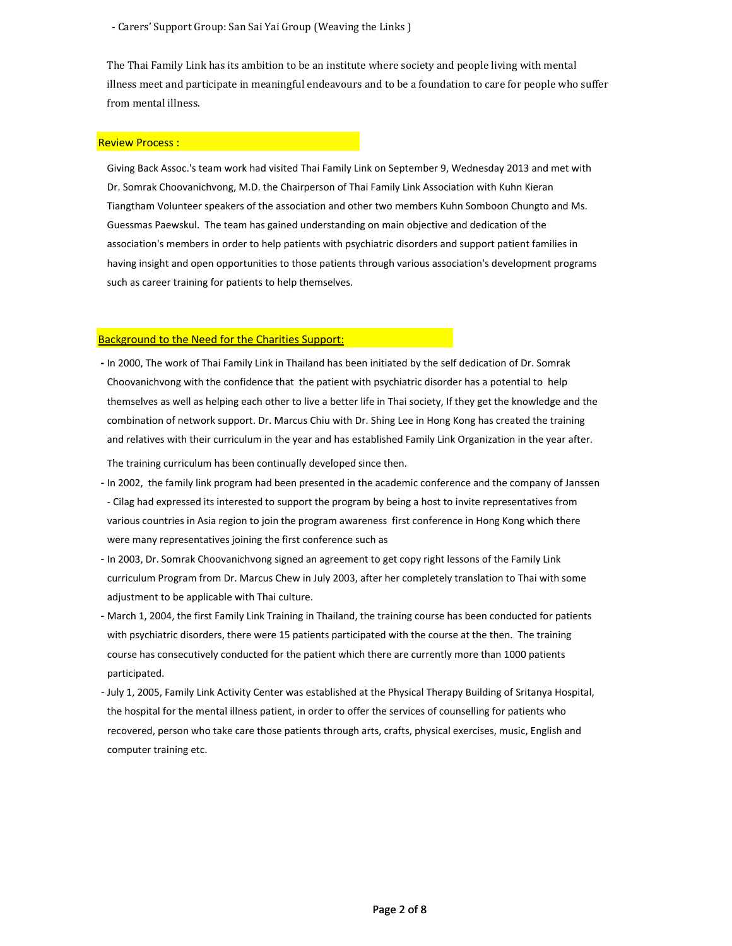- Carers' Support Group: San Sai Yai Group (Weaving the Links)

The Thai Family Link has its ambition to be an institute where society and people living with mental illness meet and participate in meaningful endeavours and to be a foundation to care for people who suffer from mental illness.

#### Review Process :

Giving Back Assoc.'s team work had visited Thai Family Link on September 9, Wednesday 2013 and met with Dr. Somrak Choovanichvong, M.D. the Chairperson of Thai Family Link Association with Kuhn Kieran Tiangtham Volunteer speakers of the association and other two members Kuhn Somboon Chungto and Ms. Guessmas Paewskul. The team has gained understanding on main objective and dedication of the association's members in order to help patients with psychiatric disorders and support patient families in having insight and open opportunities to those patients through various association's development programs such as career training for patients to help themselves.

#### Background to the Need for the Charities Support:

were many representatives joining the first conference such as

 **‐** In 2000, The work of Thai Family Link in Thailand has been initiated by the self dedication of Dr. Somrak Choovanichvong with the confidence that the patient with psychiatric disorder has a potential to help themselves as well as helping each other to live a better life in Thai society, If they get the knowledge and the combination of network support. Dr. Marcus Chiu with Dr. Shing Lee in Hong Kong has created the training and relatives with their curriculum in the year and has established Family Link Organization in the year after. The training curriculum has been continually developed since then.

 ‐ In 2002, the family link program had been presented in the academic conference and the company of Janssen ‐ Cilag had expressed its interested to support the program by being a host to invite representatives from various countries in Asia region to join the program awareness first conference in Hong Kong which there

 ‐ In 2003, Dr. Somrak Choovanichvong signed an agreement to get copy right lessons of the Family Link curriculum Program from Dr. Marcus Chew in July 2003, after her completely translation to Thai with some adjustment to be applicable with Thai culture.

- ‐ March 1, 2004, the first Family Link Training in Thailand, the training course has been conducted for patients with psychiatric disorders, there were 15 patients participated with the course at the then. The training course has consecutively conducted for the patient which there are currently more than 1000 patients participated.
- ‐ July 1, 2005, Family Link Activity Center was established at the Physical Therapy Building of Sritanya Hospital, the hospital for the mental illness patient, in order to offer the services of counselling for patients who recovered, person who take care those patients through arts, crafts, physical exercises, music, English and computer training etc.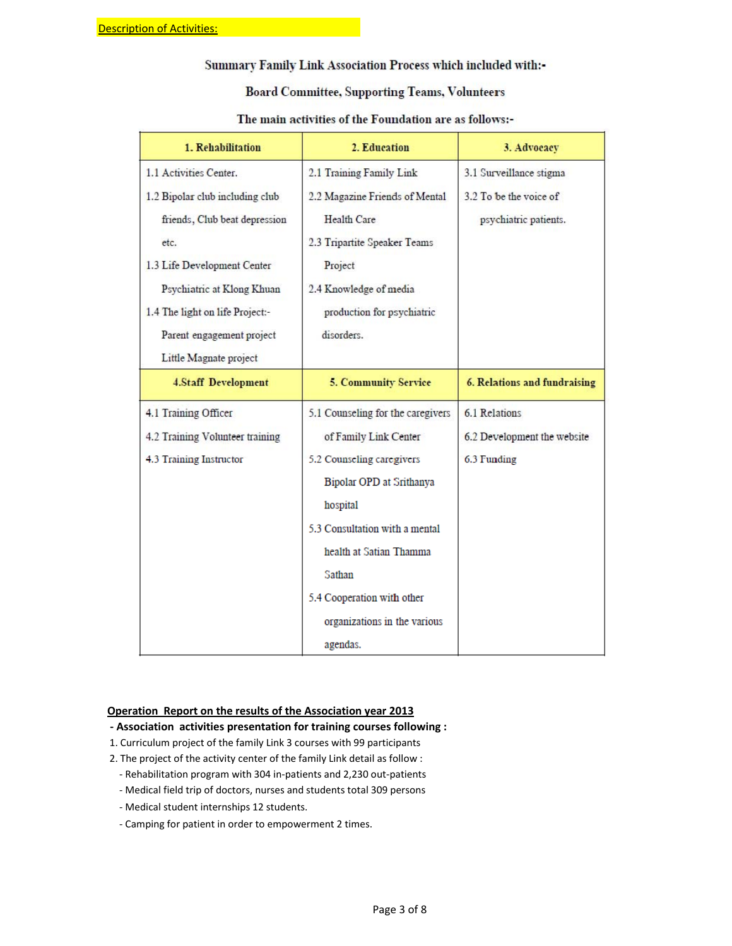# Summary Family Link Association Process which included with:-

# **Board Committee, Supporting Teams, Volunteers**

| 1. Rehabilitation               | 2. Education                      | 3. Advocacy                  |  |
|---------------------------------|-----------------------------------|------------------------------|--|
| 1.1 Activities Center.          | 2.1 Training Family Link          | 3.1 Surveillance stigma      |  |
| 1.2 Bipolar club including club | 2.2 Magazine Friends of Mental    | 3.2 To be the voice of       |  |
| friends, Club beat depression   | Health Care                       | psychiatric patients.        |  |
| etc.                            | 2.3 Tripartite Speaker Teams      |                              |  |
| 1.3 Life Development Center     | Project                           |                              |  |
| Psychiatric at Klong Khuan      | 2.4 Knowledge of media            |                              |  |
| 1.4 The light on life Project:- | production for psychiatric        |                              |  |
| Parent engagement project       | disorders.                        |                              |  |
| Little Magnate project          |                                   |                              |  |
| <b>4.Staff Development</b>      | <b>5. Community Service</b>       | 6. Relations and fundraising |  |
| 4.1 Training Officer            | 5.1 Counseling for the caregivers | 6.1 Relations                |  |
| 4.2 Training Volunteer training | of Family Link Center             | 6.2 Development the website  |  |
| 4.3 Training Instructor         | 5.2 Counseling caregivers         | 6.3 Funding                  |  |
|                                 | Bipolar OPD at Srithanya          |                              |  |
|                                 | hospital                          |                              |  |
|                                 | 5.3 Consultation with a mental    |                              |  |
|                                 | health at Satian Thamma           |                              |  |
|                                 | Sathan                            |                              |  |
|                                 | 5.4 Cooperation with other        |                              |  |
|                                 | organizations in the various      |                              |  |
|                                 | agendas.                          |                              |  |

# The main activities of the Foundation are as follows:-

### **Operation Report on the results of the Association year 2013**

- **‐ Association activities presentation for training courses following :**
- 1. Curriculum project of the family Link 3 courses with 99 participants
- 2. The project of the activity center of the family Link detail as follow :
	- ‐ Rehabilitation program with 304 in‐patients and 2,230 out‐patients
	- ‐ Medical field trip of doctors, nurses and students total 309 persons
	- ‐ Medical student internships 12 students.
	- ‐ Camping for patient in order to empowerment 2 times.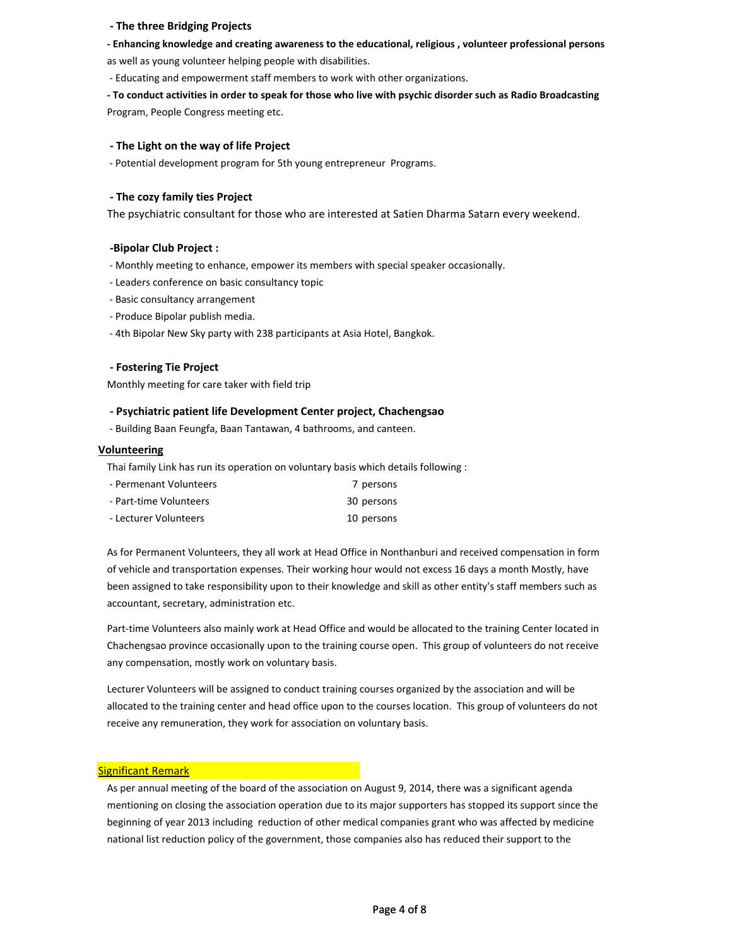### **‐ The three Bridging Projects**

#### **‐ Enhancing knowledge and creating awareness to the educational, religious , volunteer professional persons**

as well as young volunteer helping people with disabilities.

‐ Educating and empowerment staff members to work with other organizations.

- To conduct activities in order to speak for those who live with psychic disorder such as Radio Broadcasting Program, People Congress meeting etc.

#### **‐ The Light on the way of life Project**

‐ Potential development program for 5th young entrepreneur Programs.

#### **‐ The cozy family ties Project**

The psychiatric consultant for those who are interested at Satien Dharma Satarn every weekend.

### **‐Bipolar Club Project :**

‐ Monthly meeting to enhance, empower its members with special speaker occasionally.

- ‐ Leaders conference on basic consultancy topic
- ‐ Basic consultancy arrangement
- ‐ Produce Bipolar publish media.
- ‐ 4th Bipolar New Sky party with 238 participants at Asia Hotel, Bangkok.

### **‐ Fostering Tie Project**

Monthly meeting for care taker with field trip

### **‐ Psychiatric patient life Development Center project, Chachengsao**

‐ Building Baan Feungfa, Baan Tantawan, 4 bathrooms, and canteen.

#### **Volunteering**

Thai family Link has run its operation on voluntary basis which details following :

| - Permenant Volunteers | 7 persons  |
|------------------------|------------|
| - Part-time Volunteers | 30 persons |
| - Lecturer Volunteers  | 10 persons |

As for Permanent Volunteers, they all work at Head Office in Nonthanburi and received compensation in form of vehicle and transportation expenses. Their working hour would not excess 16 days a month Mostly, have been assigned to take responsibility upon to their knowledge and skill as other entity's staff members such as accountant, secretary, administration etc.

Part‐time Volunteers also mainly work at Head Office and would be allocated to the training Center located in Chachengsao province occasionally upon to the training course open. This group of volunteers do not receive any compensation, mostly work on voluntary basis.

Lecturer Volunteers will be assigned to conduct training courses organized by the association and will be allocated to the training center and head office upon to the courses location. This group of volunteers do not receive any remuneration, they work for association on voluntary basis.

### Significant Remark

As per annual meeting of the board of the association on August 9, 2014, there was a significant agenda mentioning on closing the association operation due to its major supporters has stopped its support since the beginning of year 2013 including reduction of other medical companies grant who was affected by medicine national list reduction policy of the government, those companies also has reduced their support to the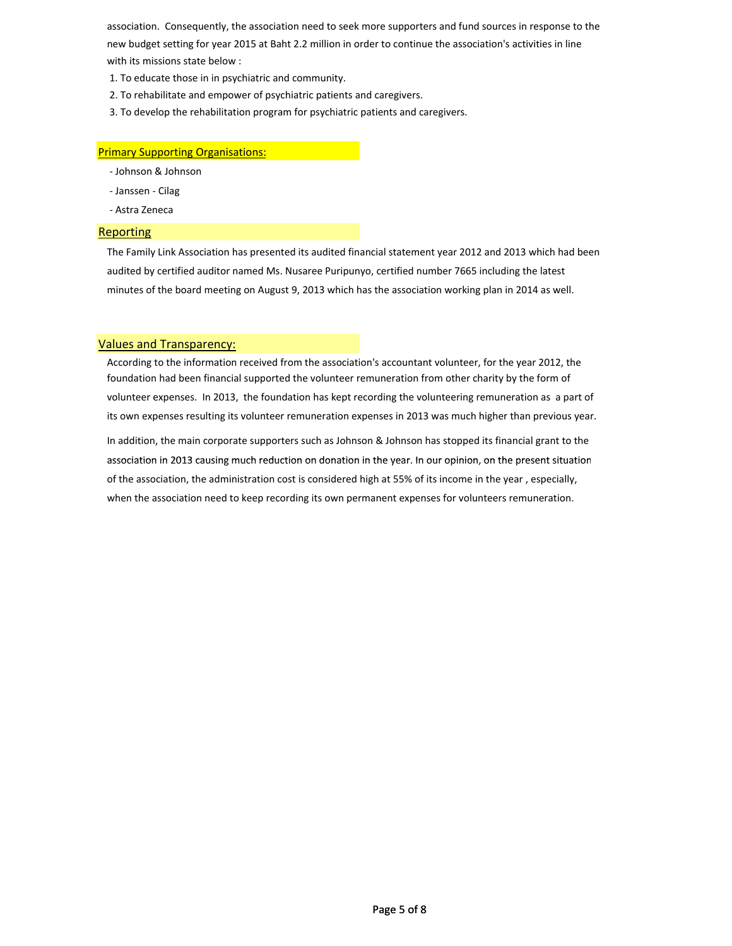association. Consequently, the association need to seek more supporters and fund sources in response to the new budget setting for year 2015 at Baht 2.2 million in order to continue the association's activities in line with its missions state below :

- 1. To educate those in in psychiatric and community.
- 2. To rehabilitate and empower of psychiatric patients and caregivers.
- 3. To develop the rehabilitation program for psychiatric patients and caregivers.

### Primary Supporting Organisations:

- ‐ Johnson & Johnson
- ‐ Janssen ‐ Cilag
- ‐ Astra Zeneca

#### Reporting

The Family Link Association has presented its audited financial statement year 2012 and 2013 which had been audited by certified auditor named Ms. Nusaree Puripunyo, certified number 7665 including the latest minutes of the board meeting on August 9, 2013 which has the association working plan in 2014 as well.

### Values and Transparency:

According to the information received from the association's accountant volunteer, for the year 2012, the foundation had been financial supported the volunteer remuneration from other charity by the form of volunteer expenses. In 2013, the foundation has kept recording the volunteering remuneration as a part of its own expenses resulting its volunteer remuneration expenses in 2013 was much higher than previous year.

In addition, the main corporate supporters such as Johnson & Johnson has stopped its financial grant to the association in 2013 causing much reduction on donation in the year. In our opinion, on the present situation of the association, the administration cost is considered high at 55% of its income in the year , especially, when the association need to keep recording its own permanent expenses for volunteers remuneration.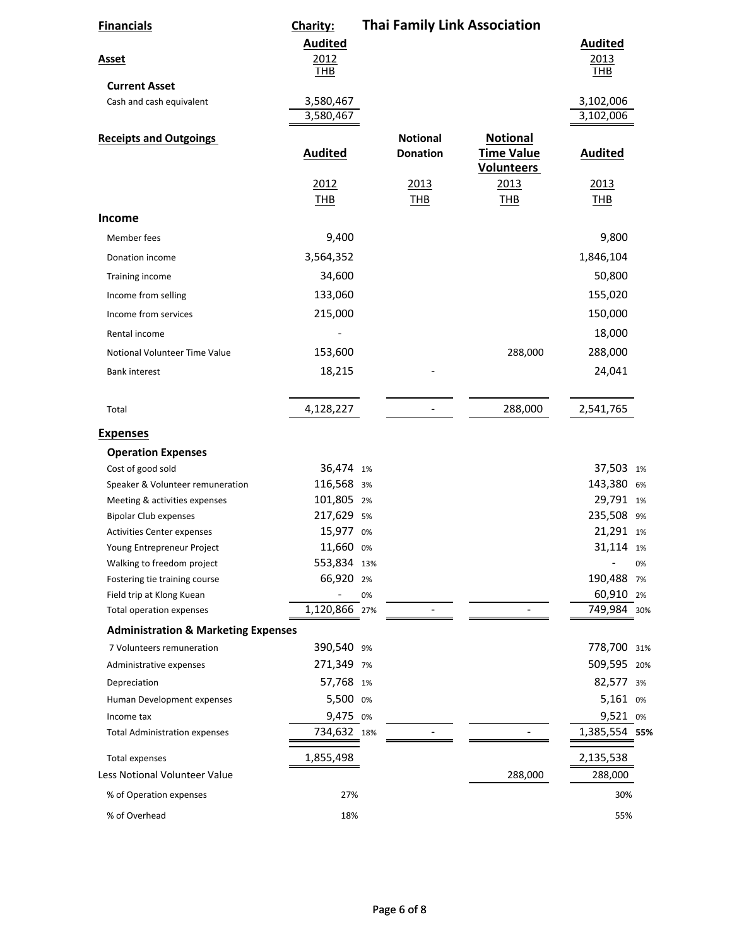| <b>Financials</b>                                     | Charity:               | <b>Thai Family Link Association</b> |                          |                                        |                                |
|-------------------------------------------------------|------------------------|-------------------------------------|--------------------------|----------------------------------------|--------------------------------|
|                                                       | <b>Audited</b>         |                                     |                          |                                        | <b>Audited</b>                 |
| <b>Asset</b>                                          | 2012                   |                                     |                          |                                        | 2013                           |
|                                                       | THB                    |                                     |                          |                                        | THB                            |
| <b>Current Asset</b>                                  |                        |                                     |                          |                                        |                                |
| Cash and cash equivalent                              | 3,580,467<br>3,580,467 |                                     |                          |                                        | 3,102,006<br>3,102,006         |
|                                                       |                        |                                     |                          |                                        |                                |
| <b>Receipts and Outgoings</b>                         |                        |                                     | <b>Notional</b>          | <b>Notional</b>                        |                                |
|                                                       | <b>Audited</b>         |                                     | <b>Donation</b>          | <b>Time Value</b><br><b>Volunteers</b> | <b>Audited</b>                 |
|                                                       | 2012                   |                                     | 2013                     | 2013                                   | 2013                           |
|                                                       | THB                    |                                     | <b>THB</b>               | <b>THB</b>                             | <b>THB</b>                     |
| <b>Income</b>                                         |                        |                                     |                          |                                        |                                |
| Member fees                                           | 9,400                  |                                     |                          |                                        | 9,800                          |
|                                                       |                        |                                     |                          |                                        |                                |
| Donation income                                       | 3,564,352              |                                     |                          |                                        | 1,846,104                      |
| Training income                                       | 34,600                 |                                     |                          |                                        | 50,800                         |
| Income from selling                                   | 133,060                |                                     |                          |                                        | 155,020                        |
| Income from services                                  | 215,000                |                                     |                          |                                        | 150,000                        |
| Rental income                                         |                        |                                     |                          |                                        | 18,000                         |
| Notional Volunteer Time Value                         | 153,600                |                                     |                          | 288,000                                | 288,000                        |
| <b>Bank interest</b>                                  | 18,215                 |                                     |                          |                                        | 24,041                         |
|                                                       |                        |                                     |                          |                                        |                                |
| Total                                                 | 4,128,227              |                                     | $\overline{\phantom{a}}$ | 288,000                                | 2,541,765                      |
| <b>Expenses</b>                                       |                        |                                     |                          |                                        |                                |
| <b>Operation Expenses</b>                             |                        |                                     |                          |                                        |                                |
| Cost of good sold                                     | 36,474 1%              |                                     |                          |                                        | 37,503 1%                      |
| Speaker & Volunteer remuneration                      | 116,568 3%             |                                     |                          |                                        | 143,380<br>6%                  |
| Meeting & activities expenses                         | 101,805 2%             |                                     |                          |                                        | 29,791 1%                      |
| <b>Bipolar Club expenses</b>                          | 217,629 5%             |                                     |                          |                                        | 235,508 9%                     |
| Activities Center expenses                            | 15,977                 | 0%                                  |                          |                                        | 21,291 1%                      |
| Young Entrepreneur Project                            | 11,660 0%              |                                     |                          |                                        | 31,114 1%                      |
| Walking to freedom project                            | 553,834 13%            |                                     |                          |                                        | 0%                             |
| Fostering tie training course                         | 66,920 2%              |                                     |                          |                                        | 190,488<br>7%                  |
| Field trip at Klong Kuean<br>Total operation expenses | 1,120,866 27%          | 0%                                  |                          |                                        | 60,910<br>2%<br>749,984<br>30% |
|                                                       |                        |                                     |                          |                                        |                                |
| <b>Administration &amp; Marketing Expenses</b>        |                        |                                     |                          |                                        |                                |
| 7 Volunteers remuneration                             | 390,540 9%             |                                     |                          |                                        | 778,700 31%                    |
| Administrative expenses                               | 271,349 7%             |                                     |                          |                                        | 509,595 20%                    |
| Depreciation                                          | 57,768 1%              |                                     |                          |                                        | 82,577<br>3%                   |
| Human Development expenses                            | 5,500 0%               |                                     |                          |                                        | 5,161 0%                       |
| Income tax                                            | 9,475 0%               |                                     |                          |                                        | 9,521 0%                       |
| <b>Total Administration expenses</b>                  | 734,632 18%            |                                     |                          |                                        | 1,385,554 55%                  |
| <b>Total expenses</b>                                 | 1,855,498              |                                     |                          |                                        | 2,135,538                      |
| Less Notional Volunteer Value                         |                        |                                     |                          | 288,000                                | 288,000                        |
| % of Operation expenses                               | 27%                    |                                     |                          |                                        | 30%                            |
| % of Overhead                                         | 18%                    |                                     |                          |                                        | 55%                            |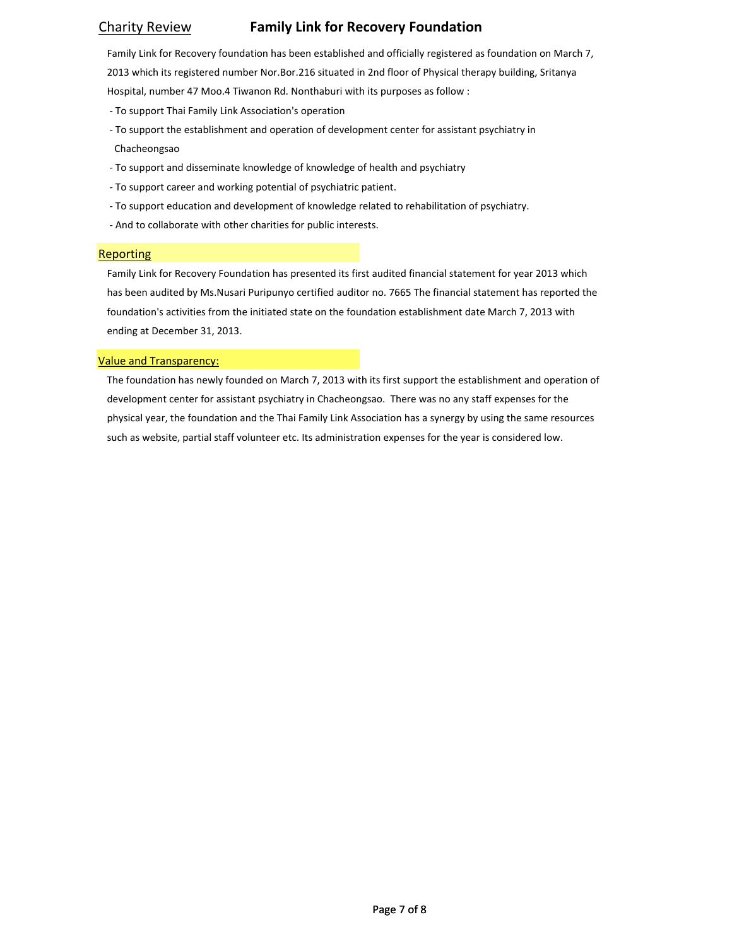# Charity Review **Family Link for Recovery Foundation**

Family Link for Recovery foundation has been established and officially registered as foundation on March 7, 2013 which its registered number Nor.Bor.216 situated in 2nd floor of Physical therapy building, Sritanya Hospital, number 47 Moo.4 Tiwanon Rd. Nonthaburi with its purposes as follow :

- ‐ To support Thai Family Link Association's operation
- ‐ To support the establishment and operation of development center for assistant psychiatry in Chacheongsao
- ‐ To support and disseminate knowledge of knowledge of health and psychiatry
- ‐ To support career and working potential of psychiatric patient.
- ‐ To support education and development of knowledge related to rehabilitation of psychiatry.
- ‐ And to collaborate with other charities for public interests.

### **Reporting**

Family Link for Recovery Foundation has presented its first audited financial statement for year 2013 which has been audited by Ms.Nusari Puripunyo certified auditor no. 7665 The financial statement has reported the foundation's activities from the initiated state on the foundation establishment date March 7, 2013 with ending at December 31, 2013.

### Value and Transparency:

The foundation has newly founded on March 7, 2013 with its first support the establishment and operation of development center for assistant psychiatry in Chacheongsao. There was no any staff expenses for the physical year, the foundation and the Thai Family Link Association has a synergy by using the same resources such as website, partial staff volunteer etc. Its administration expenses for the year is considered low.